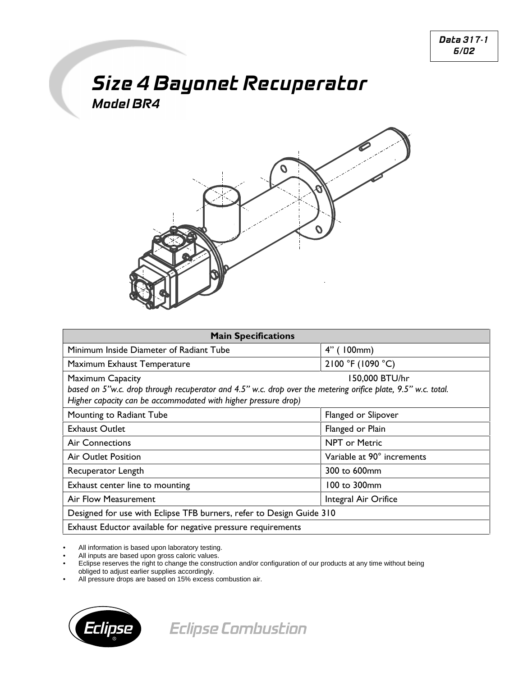## **Size 4 Bayonet Recuperator Model BR4**



| <b>Main Specifications</b>                                                                                                                                                                                                   |                            |
|------------------------------------------------------------------------------------------------------------------------------------------------------------------------------------------------------------------------------|----------------------------|
| Minimum Inside Diameter of Radiant Tube                                                                                                                                                                                      | $4"$ (100mm)               |
| Maximum Exhaust Temperature                                                                                                                                                                                                  | 2100 °F (1090 °C)          |
| 150,000 BTU/hr<br><b>Maximum Capacity</b><br>based on 5"w.c. drop through recuperator and 4.5" w.c. drop over the metering orifice plate, 9.5" w.c. total.<br>Higher capacity can be accommodated with higher pressure drop) |                            |
| Mounting to Radiant Tube                                                                                                                                                                                                     | Flanged or Slipover        |
| <b>Exhaust Outlet</b>                                                                                                                                                                                                        | Flanged or Plain           |
| <b>Air Connections</b>                                                                                                                                                                                                       | <b>NPT or Metric</b>       |
| Air Outlet Position                                                                                                                                                                                                          | Variable at 90° increments |
| Recuperator Length                                                                                                                                                                                                           | 300 to 600mm               |
| Exhaust center line to mounting                                                                                                                                                                                              | 100 to 300mm               |
| Air Flow Measurement                                                                                                                                                                                                         | Integral Air Orifice       |
| Designed for use with Eclipse TFB burners, refer to Design Guide 310                                                                                                                                                         |                            |
| Exhaust Eductor available for negative pressure requirements                                                                                                                                                                 |                            |

All information is based upon laboratory testing.

All inputs are based upon gross caloric values.

• Eclipse reserves the right to change the construction and/or configuration of our products at any time without being obliged to adjust earlier supplies accordingly.

All pressure drops are based on 15% excess combustion air.



**Eclipse Combustion**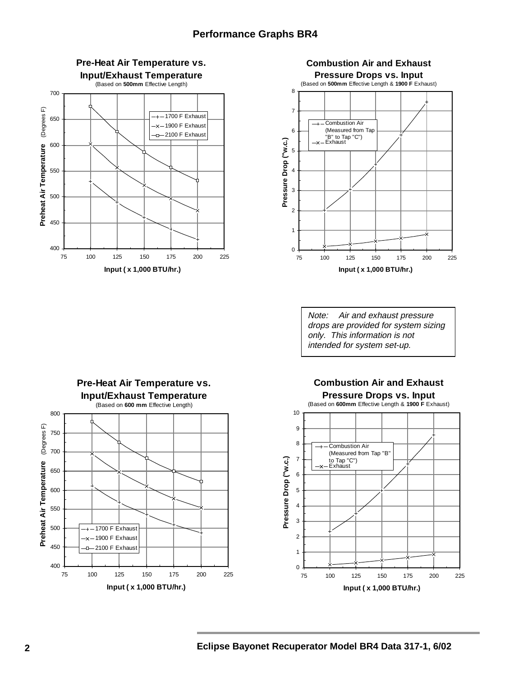



Note: Air and exhaust pressure drops are provided for system sizing only. This information is not intended for system set-up.



## **Combustion Air and Exhaust Pressure Drops vs. Input**

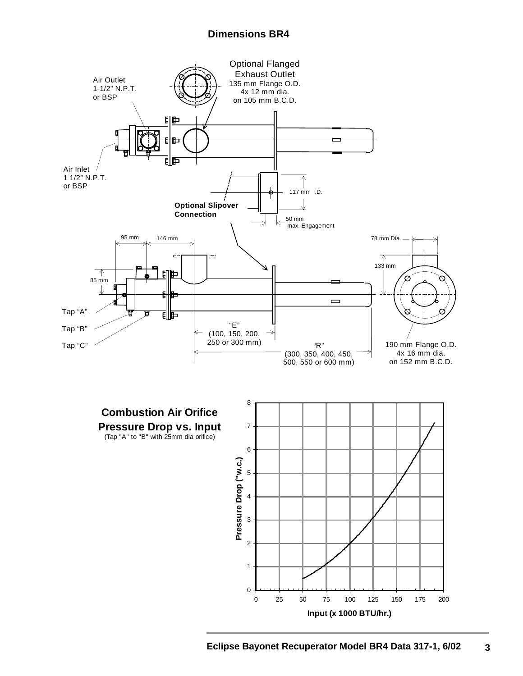## **Dimensions BR4**